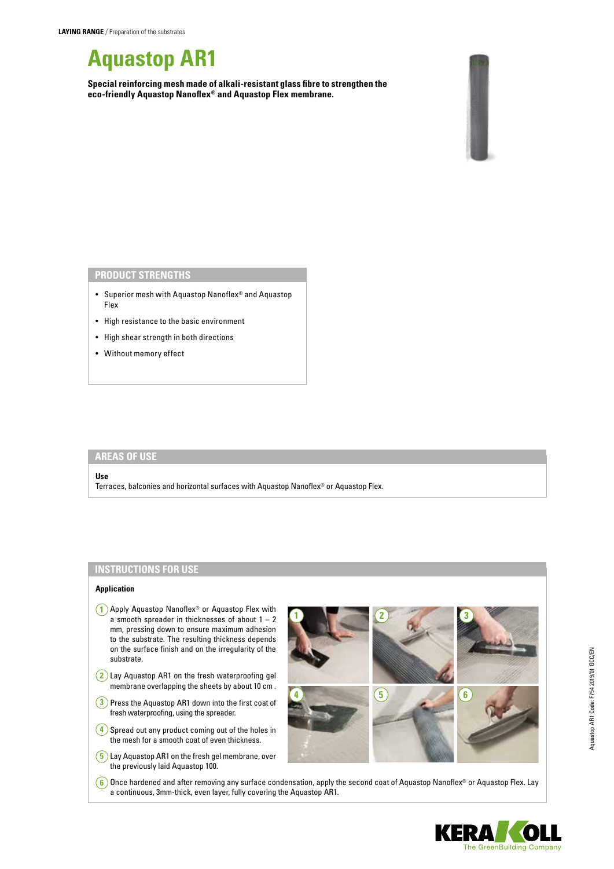# **Aquastop AR1**

**Special reinforcing mesh made of alkali-resistant glass fibre to strengthen the eco-friendly Aquastop Nanoflex® and Aquastop Flex membrane.**



### **PRODUCT STRENGTHS**

- Superior mesh with Aquastop Nanoflex® and Aquastop Flex
- High resistance to the basic environment
- High shear strength in both directions
- Without memory effect

## **AREAS OF USE**

#### **Use**

Terraces, balconies and horizontal surfaces with Aquastop Nanoflex® or Aquastop Flex.

# **INSTRUCTIONS FOR USE**

### **Application**

- **1** Apply Aquastop Nanoflex® or Aquastop Flex with a smooth spreader in thicknesses of about  $1 - 2$ mm, pressing down to ensure maximum adhesion to the substrate. The resulting thickness depends on the surface finish and on the irregularity of the substrate.
- **2** Lay Aquastop AR1 on the fresh waterproofing gel membrane overlapping the sheets by about 10 cm .
- **3** Press the Aquastop AR1 down into the first coat of fresh waterproofing, using the spreader.
- **4** Spread out any product coming out of the holes in the mesh for a smooth coat of even thickness.
- **5** Lay Aquastop AR1 on the fresh gel membrane, over the previously laid Aquastop 100.



**6** Once hardened and after removing any surface condensation, apply the second coat of Aquastop Nanoflex® or Aquastop Flex. Lay a continuous, 3mm-thick, even layer, fully covering the Aquastop AR1.